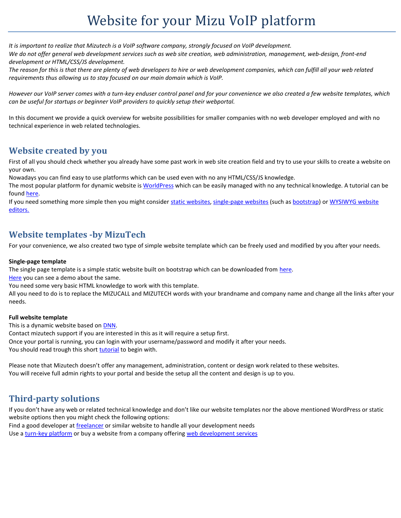# Website for your Mizu VoIP platform

*It is important to realize that Mizutech is a VoIP software company, strongly focused on VoIP development. We do not offer general web development services such as web site creation, web administration, management, web-design, front-end development or HTML/CSS/JS development.*

*The reason for this is that there are plenty of web developers to hire or web development companies, which can fulfill all your web related requirements thus allowing us to stay focused on our main domain which is VoIP.* 

*However our VoIP server comes with a turn-key enduser control panel and for your convenience we also created a few website templates, which can be useful for startups or beginner VoIP providers to quickly setup their webportal.*

In this document we provide a quick overview for website possibilities for smaller companies with no web developer employed and with no technical experience in web related technologies.

#### **Website created by you**

First of all you should check whether you already have some past work in web site creation field and try to use your skills to create a website on your own.

Nowadays you can find easy to use platforms which can be used even with no any HTML/CSS/JS knowledge.

The most popular platform for dynamic website i[s WorldPress](https://worldpress.com/) which can be easily managed with no any technical knowledge. A tutorial can be found [here.](https://websitesetup.org/)

If you need something more simple then you might consider [static websites,](https://www.google.com/search?q=static+websites+generator) [single-page websites](https://www.google.com/search?q=single-page+websites) (such as [bootstrap\)](https://getbootstrap.com/) o[r WYSIWYG website](https://www.google.com/search?q=WYSIWYG+website+editors)  [editors.](https://www.google.com/search?q=WYSIWYG+website+editors)

### **Website templates -by MizuTech**

For your convenience, we also created two type of simple website template which can be freely used and modified by you after your needs.

#### **Single-page template**

The single page template is a simple static website built on bootstrap which can be downloaded from [here.](https://www.mizu-voip.com/Portals/0/Files/voip_site_template.zip)

[Here](https://www.mizu-voip.com/voip_site_template/index.html) you can see a demo about the same.

You need some very basic HTML knowledge to work with this template.

All you need to do is to replace the MIZUCALL and MIZUTECH words with your brandname and company name and change all the links after your needs.

#### **Full website template**

This is a dynamic website based o[n DNN.](https://www.dnnsoftware.com/)

Contact mizutech support if you are interested in this as it will require a setup first. Once your portal is running, you can login with your username/password and modify it after your needs. You should read trough this shor[t tutorial](https://www.mizu-voip.com/Portals/0/Files/DNN_Administration.pdf) to begin with.

Please note that Mizutech doesn't offer any management, administration, content or design work related to these websites. You will receive full admin rights to your portal and beside the setup all the content and design is up to you.

### **Third-party solutions**

If you don't have any web or related technical knowledge and don't like our website templates nor the above mentioned WordPress or static website options then you might check the following options:

Find a good developer a[t freelancer](https://www.freelancer.com/) or similar website to handle all your development needs Use a [turn-key platform](https://www.google.com/search?q=create+website) or buy a website from a company offering [web development services](https://www.google.com/search?q=web+development+services)